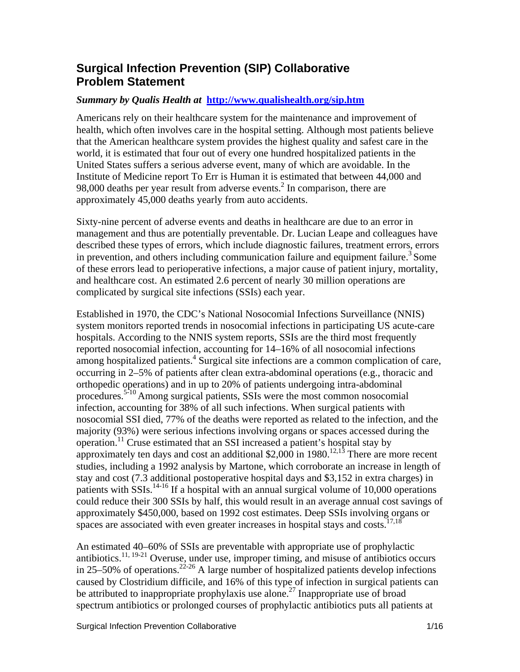#### **Surgical Infection Prevention (SIP) Collaborative Problem Statement**

#### *Summary by Qualis Health at* **<http://www.qualishealth.org/sip.htm>**

Americans rely on their healthcare system for the maintenance and improvement of health, which often involves care in the hospital setting. Although most patients believe that the American healthcare system provides the highest quality and safest care in the world, it is estimated that four out of every one hundred hospitalized patients in the United States suffers a serious adverse event, many of which are avoidable. In the Institute of Medicine report To Err is Human it is estimated that between 44,000 and 98,000 deaths per year result from adverse events.<sup>2</sup> In comparison, there are approximately 45,000 deaths yearly from auto accidents.

Sixty-nine percent of adverse events and deaths in healthcare are due to an error in management and thus are potentially preventable. Dr. Lucian Leape and colleagues have described these types of errors, which include diagnostic failures, treatment errors, errors in prevention, and others including communication failure and equipment failure.<sup>3</sup> Some of these errors lead to perioperative infections, a major cause of patient injury, mortality, and healthcare cost. An estimated 2.6 percent of nearly 30 million operations are complicated by surgical site infections (SSIs) each year.

Established in 1970, the CDC's National Nosocomial Infections Surveillance (NNIS) system monitors reported trends in nosocomial infections in participating US acute-care hospitals. According to the NNIS system reports, SSIs are the third most frequently reported nosocomial infection, accounting for 14–16% of all nosocomial infections among hospitalized patients.<sup>4</sup> Surgical site infections are a common complication of care, occurring in 2–5% of patients after clean extra-abdominal operations (e.g., thoracic and orthopedic operations) and in up to 20% of patients undergoing intra-abdominal procedures.5-10 Among surgical patients, SSIs were the most common nosocomial infection, accounting for 38% of all such infections. When surgical patients with nosocomial SSI died, 77% of the deaths were reported as related to the infection, and the majority (93%) were serious infections involving organs or spaces accessed during the operation.11 Cruse estimated that an SSI increased a patient's hospital stay by approximately ten days and cost an additional \$2,000 in 1980.<sup>12,13</sup> There are more recent studies, including a 1992 analysis by Martone, which corroborate an increase in length of stay and cost (7.3 additional postoperative hospital days and \$3,152 in extra charges) in patients with SSIs.14-16 If a hospital with an annual surgical volume of 10,000 operations could reduce their 300 SSIs by half, this would result in an average annual cost savings of approximately \$450,000, based on 1992 cost estimates. Deep SSIs involving organs or spaces are associated with even greater increases in hospital stays and costs.<sup>17,18</sup>

An estimated 40–60% of SSIs are preventable with appropriate use of prophylactic antibiotics.<sup>11, 19-21</sup> Overuse, under use, improper timing, and misuse of antibiotics occurs in 25–50% of operations.<sup>22-26</sup> A large number of hospitalized patients develop infections caused by Clostridium difficile, and 16% of this type of infection in surgical patients can be attributed to inappropriate prophylaxis use alone.<sup>27</sup> Inappropriate use of broad spectrum antibiotics or prolonged courses of prophylactic antibiotics puts all patients at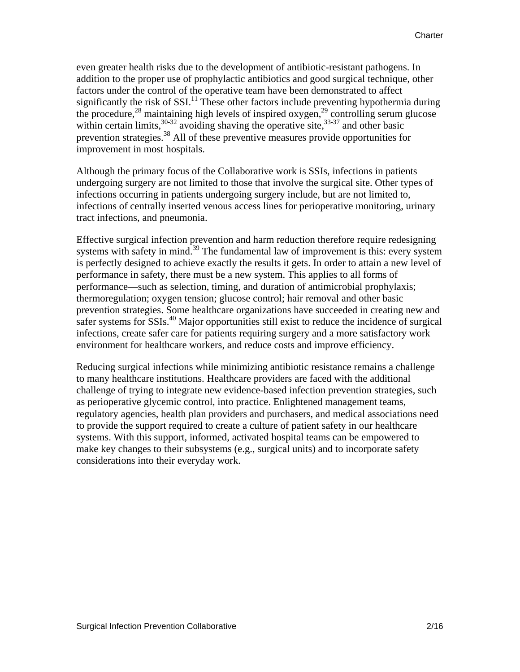even greater health risks due to the development of antibiotic-resistant pathogens. In addition to the proper use of prophylactic antibiotics and good surgical technique, other factors under the control of the operative team have been demonstrated to affect significantly the risk of  $SSI$ <sup>11</sup>. These other factors include preventing hypothermia during the procedure,<sup>28</sup> maintaining high levels of inspired oxygen,<sup>29</sup> controlling serum glucose within certain limits,  $30-32$  avoiding shaving the operative site,  $33-37$  and other basic prevention strategies.38 All of these preventive measures provide opportunities for improvement in most hospitals.

Although the primary focus of the Collaborative work is SSIs, infections in patients undergoing surgery are not limited to those that involve the surgical site. Other types of infections occurring in patients undergoing surgery include, but are not limited to, infections of centrally inserted venous access lines for perioperative monitoring, urinary tract infections, and pneumonia.

Effective surgical infection prevention and harm reduction therefore require redesigning systems with safety in mind. $39$  The fundamental law of improvement is this: every system is perfectly designed to achieve exactly the results it gets. In order to attain a new level of performance in safety, there must be a new system. This applies to all forms of performance—such as selection, timing, and duration of antimicrobial prophylaxis; thermoregulation; oxygen tension; glucose control; hair removal and other basic prevention strategies. Some healthcare organizations have succeeded in creating new and safer systems for SSIs.<sup>40</sup> Major opportunities still exist to reduce the incidence of surgical infections, create safer care for patients requiring surgery and a more satisfactory work environment for healthcare workers, and reduce costs and improve efficiency.

Reducing surgical infections while minimizing antibiotic resistance remains a challenge to many healthcare institutions. Healthcare providers are faced with the additional challenge of trying to integrate new evidence-based infection prevention strategies, such as perioperative glycemic control, into practice. Enlightened management teams, regulatory agencies, health plan providers and purchasers, and medical associations need to provide the support required to create a culture of patient safety in our healthcare systems. With this support, informed, activated hospital teams can be empowered to make key changes to their subsystems (e.g., surgical units) and to incorporate safety considerations into their everyday work.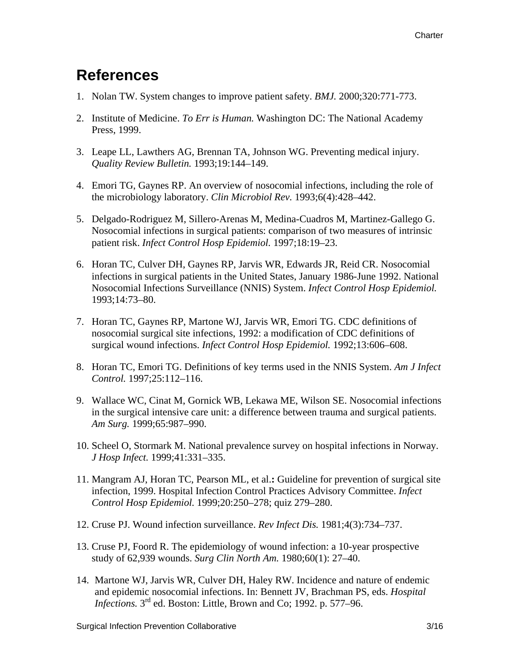### **References**

- 1. Nolan TW. System changes to improve patient safety. *BMJ.* 2000;320:771-773.
- 2. Institute of Medicine. *To Err is Human.* Washington DC: The National Academy Press, 1999.
- 3. Leape LL, Lawthers AG, Brennan TA, Johnson WG. Preventing medical injury. *Quality Review Bulletin.* 1993;19:144–149.
- 4. Emori TG, Gaynes RP. An overview of nosocomial infections, including the role of the microbiology laboratory. *Clin Microbiol Rev.* 1993;6(4):428–442.
- 5. Delgado-Rodriguez M, Sillero-Arenas M, Medina-Cuadros M, Martinez-Gallego G. Nosocomial infections in surgical patients: comparison of two measures of intrinsic patient risk. *Infect Control Hosp Epidemiol.* 1997;18:19–23.
- 6. Horan TC, Culver DH, Gaynes RP, Jarvis WR, Edwards JR, Reid CR. Nosocomial infections in surgical patients in the United States, January 1986-June 1992. National Nosocomial Infections Surveillance (NNIS) System. *Infect Control Hosp Epidemiol.*  1993;14:73–80.
- 7. Horan TC, Gaynes RP, Martone WJ, Jarvis WR, Emori TG. CDC definitions of nosocomial surgical site infections, 1992: a modification of CDC definitions of surgical wound infections. *Infect Control Hosp Epidemiol.* 1992;13:606–608.
- 8. Horan TC, Emori TG. Definitions of key terms used in the NNIS System. *Am J Infect Control.* 1997;25:112–116.
- 9. Wallace WC, Cinat M, Gornick WB, Lekawa ME, Wilson SE. Nosocomial infections in the surgical intensive care unit: a difference between trauma and surgical patients. *Am Surg.* 1999;65:987–990.
- 10. Scheel O, Stormark M. National prevalence survey on hospital infections in Norway. *J Hosp Infect.* 1999;41:331–335.
- 11. Mangram AJ, Horan TC, Pearson ML, et al.**:** Guideline for prevention of surgical site infection, 1999. Hospital Infection Control Practices Advisory Committee. *Infect Control Hosp Epidemiol.* 1999;20:250–278; quiz 279–280.
- 12. Cruse PJ. Wound infection surveillance. *Rev Infect Dis.* 1981;4(3):734–737.
- 13. Cruse PJ, Foord R. The epidemiology of wound infection: a 10-year prospective study of 62,939 wounds. *Surg Clin North Am.* 1980;60(1): 27–40.
- 14. Martone WJ, Jarvis WR, Culver DH, Haley RW. Incidence and nature of endemic and epidemic nosocomial infections. In: Bennett JV, Brachman PS, eds. *Hospital Infections.*  $3^{rd}$  ed. Boston: Little, Brown and Co; 1992. p. 577–96.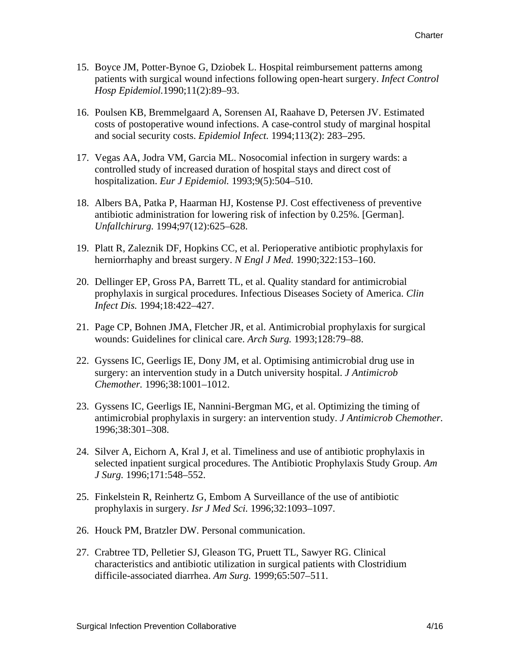- 15. Boyce JM, Potter-Bynoe G, Dziobek L. Hospital reimbursement patterns among patients with surgical wound infections following open-heart surgery. *Infect Control Hosp Epidemiol.*1990;11(2):89–93.
- 16. Poulsen KB, Bremmelgaard A, Sorensen AI, Raahave D, Petersen JV. Estimated costs of postoperative wound infections. A case-control study of marginal hospital and social security costs. *Epidemiol Infect.* 1994;113(2): 283–295.
- 17. Vegas AA, Jodra VM, Garcia ML. Nosocomial infection in surgery wards: a controlled study of increased duration of hospital stays and direct cost of hospitalization. *Eur J Epidemiol.* 1993;9(5):504–510.
- 18. Albers BA, Patka P, Haarman HJ, Kostense PJ. Cost effectiveness of preventive antibiotic administration for lowering risk of infection by 0.25%. [German]. *Unfallchirurg.* 1994;97(12):625–628.
- 19. Platt R, Zaleznik DF, Hopkins CC, et al. Perioperative antibiotic prophylaxis for herniorrhaphy and breast surgery. *N Engl J Med.* 1990;322:153–160.
- 20. Dellinger EP, Gross PA, Barrett TL, et al. Quality standard for antimicrobial prophylaxis in surgical procedures. Infectious Diseases Society of America. *Clin Infect Dis.* 1994;18:422–427.
- 21. Page CP, Bohnen JMA, Fletcher JR, et al. Antimicrobial prophylaxis for surgical wounds: Guidelines for clinical care. *Arch Surg.* 1993;128:79–88.
- 22. Gyssens IC, Geerligs IE, Dony JM, et al. Optimising antimicrobial drug use in surgery: an intervention study in a Dutch university hospital. *J Antimicrob Chemother.* 1996;38:1001–1012.
- 23. Gyssens IC, Geerligs IE, Nannini-Bergman MG, et al. Optimizing the timing of antimicrobial prophylaxis in surgery: an intervention study. *J Antimicrob Chemother.*  1996;38:301–308.
- 24. Silver A, Eichorn A, Kral J, et al. Timeliness and use of antibiotic prophylaxis in selected inpatient surgical procedures. The Antibiotic Prophylaxis Study Group. *Am J Surg.* 1996;171:548–552.
- 25. Finkelstein R, Reinhertz G, Embom A Surveillance of the use of antibiotic prophylaxis in surgery. *Isr J Med Sci.* 1996;32:1093–1097.
- 26. Houck PM, Bratzler DW. Personal communication.
- 27. Crabtree TD, Pelletier SJ, Gleason TG, Pruett TL, Sawyer RG. Clinical characteristics and antibiotic utilization in surgical patients with Clostridium difficile-associated diarrhea. *Am Surg.* 1999;65:507–511.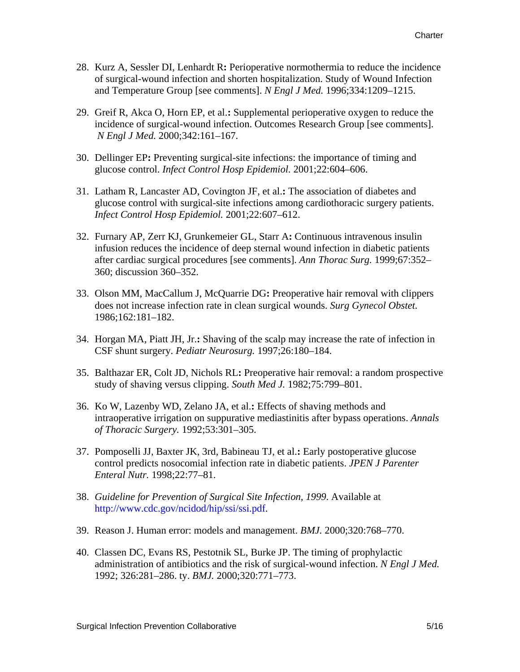- 28. Kurz A, Sessler DI, Lenhardt R**:** Perioperative normothermia to reduce the incidence of surgical-wound infection and shorten hospitalization. Study of Wound Infection and Temperature Group [see comments]. *N Engl J Med.* 1996;334:1209–1215.
- 29. Greif R, Akca O, Horn EP, et al.**:** Supplemental perioperative oxygen to reduce the incidence of surgical-wound infection. Outcomes Research Group [see comments].  *N Engl J Med.* 2000;342:161–167.
- 30. Dellinger EP**:** Preventing surgical-site infections: the importance of timing and glucose control. *Infect Control Hosp Epidemiol.* 2001;22:604–606.
- 31. Latham R, Lancaster AD, Covington JF, et al.**:** The association of diabetes and glucose control with surgical-site infections among cardiothoracic surgery patients. *Infect Control Hosp Epidemiol.* 2001;22:607–612.
- 32. Furnary AP, Zerr KJ, Grunkemeier GL, Starr A**:** Continuous intravenous insulin infusion reduces the incidence of deep sternal wound infection in diabetic patients after cardiac surgical procedures [see comments]. *Ann Thorac Surg.* 1999;67:352– 360; discussion 360–352.
- 33. Olson MM, MacCallum J, McQuarrie DG**:** Preoperative hair removal with clippers does not increase infection rate in clean surgical wounds. *Surg Gynecol Obstet.*  1986;162:181–182.
- 34. Horgan MA, Piatt JH, Jr.**:** Shaving of the scalp may increase the rate of infection in CSF shunt surgery. *Pediatr Neurosurg.* 1997;26:180–184.
- 35. Balthazar ER, Colt JD, Nichols RL**:** Preoperative hair removal: a random prospective study of shaving versus clipping. *South Med J.* 1982;75:799–801.
- 36. Ko W, Lazenby WD, Zelano JA, et al.**:** Effects of shaving methods and intraoperative irrigation on suppurative mediastinitis after bypass operations. *Annals of Thoracic Surgery.* 1992;53:301–305.
- 37. Pomposelli JJ, Baxter JK, 3rd, Babineau TJ, et al.**:** Early postoperative glucose control predicts nosocomial infection rate in diabetic patients. *JPEN J Parenter Enteral Nutr.* 1998;22:77–81.
- 38. *Guideline for Prevention of Surgical Site Infection, 1999*. Available at [http://www.cdc.gov/ncidod/hip/ssi/ssi.pdf.](http://www.cdc.gov/ncidod/hip/ssi/ssi.pdf)
- 39. Reason J. Human error: models and management. *BMJ.* 2000;320:768–770.
- 40. Classen DC, Evans RS, Pestotnik SL, Burke JP. The timing of prophylactic administration of antibiotics and the risk of surgical-wound infection. *N Engl J Med.* 1992; 326:281–286. ty. *BMJ.* 2000;320:771–773.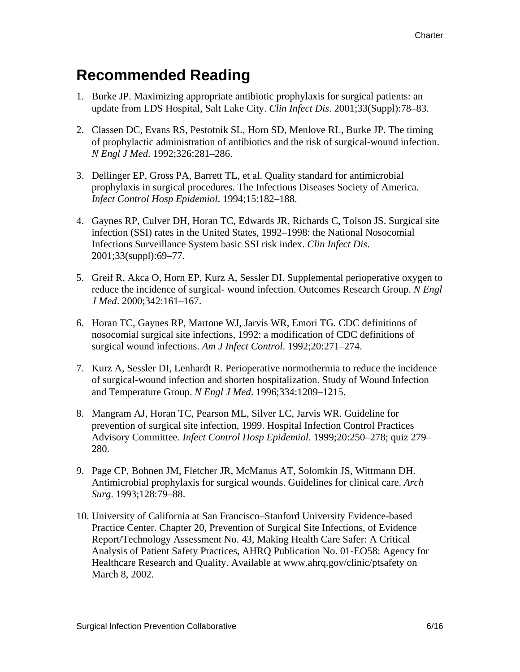### **Recommended Reading**

- 1. Burke JP. Maximizing appropriate antibiotic prophylaxis for surgical patients: an update from LDS Hospital, Salt Lake City. *Clin Infect Dis*. 2001;33(Suppl):78–83.
- 2. Classen DC, Evans RS, Pestotnik SL, Horn SD, Menlove RL, Burke JP. The timing of prophylactic administration of antibiotics and the risk of surgical-wound infection. *N Engl J Med*. 1992;326:281–286.
- 3. Dellinger EP, Gross PA, Barrett TL, et al. Quality standard for antimicrobial prophylaxis in surgical procedures. The Infectious Diseases Society of America. *Infect Control Hosp Epidemiol*. 1994;15:182–188.
- 4. Gaynes RP, Culver DH, Horan TC, Edwards JR, Richards C, Tolson JS. Surgical site infection (SSI) rates in the United States, 1992–1998: the National Nosocomial Infections Surveillance System basic SSI risk index. *Clin Infect Dis*. 2001;33(suppl):69–77.
- 5. Greif R, Akca O, Horn EP, Kurz A, Sessler DI. Supplemental perioperative oxygen to reduce the incidence of surgical- wound infection. Outcomes Research Group. *N Engl J Med*. 2000;342:161–167.
- 6. Horan TC, Gaynes RP, Martone WJ, Jarvis WR, Emori TG. CDC definitions of nosocomial surgical site infections, 1992: a modification of CDC definitions of surgical wound infections. *Am J Infect Control*. 1992;20:271–274.
- 7. Kurz A, Sessler DI, Lenhardt R. Perioperative normothermia to reduce the incidence of surgical-wound infection and shorten hospitalization. Study of Wound Infection and Temperature Group. *N Engl J Med*. 1996;334:1209–1215.
- 8. Mangram AJ, Horan TC, Pearson ML, Silver LC, Jarvis WR. Guideline for prevention of surgical site infection, 1999. Hospital Infection Control Practices Advisory Committee. *Infect Control Hosp Epidemiol*. 1999;20:250–278; quiz 279– 280.
- 9. Page CP, Bohnen JM, Fletcher JR, McManus AT, Solomkin JS, Wittmann DH. Antimicrobial prophylaxis for surgical wounds. Guidelines for clinical care. *Arch Surg*. 1993;128:79–88.
- 10. University of California at San Francisco–Stanford University Evidence-based Practice Center. Chapter 20, Prevention of Surgical Site Infections, of Evidence Report/Technology Assessment No. 43, Making Health Care Safer: A Critical Analysis of Patient Safety Practices, AHRQ Publication No. 01-EO58: Agency for Healthcare Research and Quality. Available at www.ahrq.gov/clinic/ptsafety on March 8, 2002.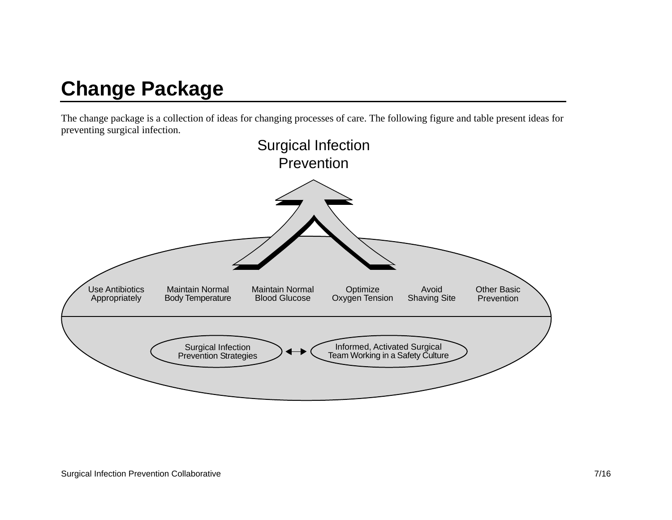# **Change Package**

The change package is a collection of ideas for changing processes of care. The following figure and table present ideas for preventing surgical infection.

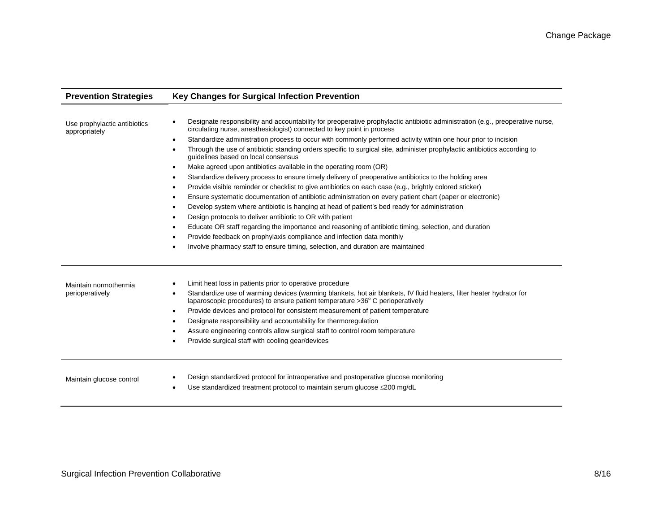| <b>Prevention Strategies</b>                  | <b>Key Changes for Surgical Infection Prevention</b>                                                                                                                                                                                                                                                                                                                                                                                                                                                                                                                                                                                                                                                                                                                                                                                                                                                                                                                                                                                                                                                                                                                                                                                                                                                                                         |  |  |  |  |
|-----------------------------------------------|----------------------------------------------------------------------------------------------------------------------------------------------------------------------------------------------------------------------------------------------------------------------------------------------------------------------------------------------------------------------------------------------------------------------------------------------------------------------------------------------------------------------------------------------------------------------------------------------------------------------------------------------------------------------------------------------------------------------------------------------------------------------------------------------------------------------------------------------------------------------------------------------------------------------------------------------------------------------------------------------------------------------------------------------------------------------------------------------------------------------------------------------------------------------------------------------------------------------------------------------------------------------------------------------------------------------------------------------|--|--|--|--|
| Use prophylactic antibiotics<br>appropriately | Designate responsibility and accountability for preoperative prophylactic antibiotic administration (e.g., preoperative nurse,<br>circulating nurse, anesthesiologist) connected to key point in process<br>Standardize administration process to occur with commonly performed activity within one hour prior to incision<br>٠<br>Through the use of antibiotic standing orders specific to surgical site, administer prophylactic antibiotics according to<br>quidelines based on local consensus<br>Make agreed upon antibiotics available in the operating room (OR)<br>Standardize delivery process to ensure timely delivery of preoperative antibiotics to the holding area<br>Provide visible reminder or checklist to give antibiotics on each case (e.g., brightly colored sticker)<br>Ensure systematic documentation of antibiotic administration on every patient chart (paper or electronic)<br>Develop system where antibiotic is hanging at head of patient's bed ready for administration<br>Design protocols to deliver antibiotic to OR with patient<br>Educate OR staff regarding the importance and reasoning of antibiotic timing, selection, and duration<br>Provide feedback on prophylaxis compliance and infection data monthly<br>Involve pharmacy staff to ensure timing, selection, and duration are maintained |  |  |  |  |
| Maintain normothermia<br>perioperatively      | Limit heat loss in patients prior to operative procedure<br>×<br>Standardize use of warming devices (warming blankets, hot air blankets, IV fluid heaters, filter heater hydrator for<br>laparoscopic procedures) to ensure patient temperature >36° C perioperatively<br>Provide devices and protocol for consistent measurement of patient temperature<br>Designate responsibility and accountability for thermoregulation<br>Assure engineering controls allow surgical staff to control room temperature<br>Provide surgical staff with cooling gear/devices                                                                                                                                                                                                                                                                                                                                                                                                                                                                                                                                                                                                                                                                                                                                                                             |  |  |  |  |
| Maintain glucose control                      | Design standardized protocol for intraoperative and postoperative glucose monitoring<br>Use standardized treatment protocol to maintain serum glucose ≤200 mg/dL                                                                                                                                                                                                                                                                                                                                                                                                                                                                                                                                                                                                                                                                                                                                                                                                                                                                                                                                                                                                                                                                                                                                                                             |  |  |  |  |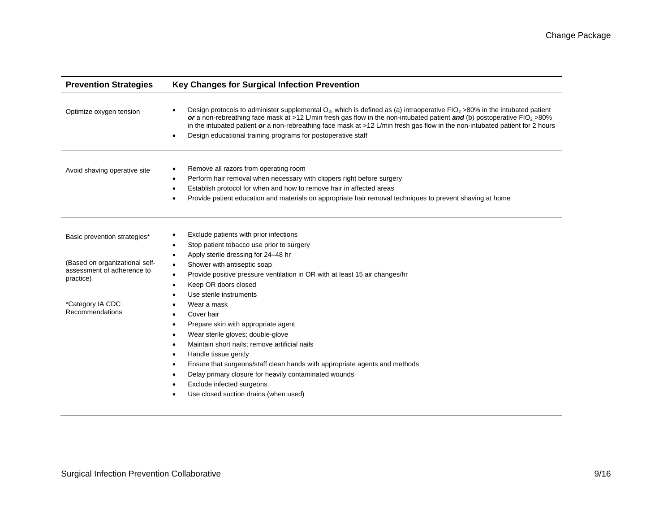| <b>Prevention Strategies</b>                                              | Key Changes for Surgical Infection Prevention                                                                                                                                                                                                                                                                                                                                                                                                                           |  |  |  |
|---------------------------------------------------------------------------|-------------------------------------------------------------------------------------------------------------------------------------------------------------------------------------------------------------------------------------------------------------------------------------------------------------------------------------------------------------------------------------------------------------------------------------------------------------------------|--|--|--|
| Optimize oxygen tension                                                   | Design protocols to administer supplemental $O_2$ , which is defined as (a) intraoperative FIO <sub>2</sub> >80% in the intubated patient<br>or a non-rebreathing face mask at >12 L/min fresh gas flow in the non-intubated patient and (b) postoperative $FIO_2$ >80%<br>in the intubated patient or a non-rebreathing face mask at >12 L/min fresh gas flow in the non-intubated patient for 2 hours<br>Design educational training programs for postoperative staff |  |  |  |
| Avoid shaving operative site                                              | Remove all razors from operating room<br>٠<br>Perform hair removal when necessary with clippers right before surgery<br>Establish protocol for when and how to remove hair in affected areas<br>٠<br>Provide patient education and materials on appropriate hair removal techniques to prevent shaving at home                                                                                                                                                          |  |  |  |
| Basic prevention strategies*                                              | Exclude patients with prior infections<br>Stop patient tobacco use prior to surgery<br>٠                                                                                                                                                                                                                                                                                                                                                                                |  |  |  |
| (Based on organizational self-<br>assessment of adherence to<br>practice) | Apply sterile dressing for 24-48 hr<br>$\bullet$<br>Shower with antiseptic soap<br>$\bullet$<br>Provide positive pressure ventilation in OR with at least 15 air changes/hr<br>٠<br>Keep OR doors closed                                                                                                                                                                                                                                                                |  |  |  |
| *Category IA CDC<br>Recommendations                                       | Use sterile instruments<br>Wear a mask<br>Cover hair<br>Prepare skin with appropriate agent<br>Wear sterile gloves; double-glove<br>Maintain short nails; remove artificial nails<br>Handle tissue gently<br>Ensure that surgeons/staff clean hands with appropriate agents and methods<br>Delay primary closure for heavily contaminated wounds<br>Exclude infected surgeons<br>Use closed suction drains (when used)                                                  |  |  |  |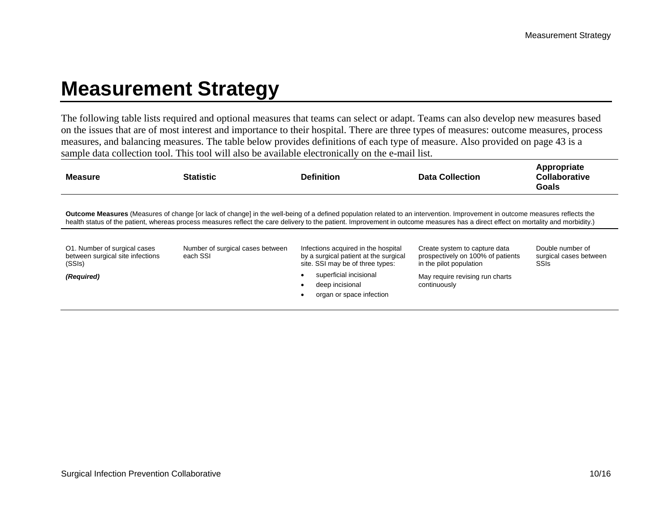## **Measurement Strategy**

The following table lists required and optional measures that teams can select or adapt. Teams can also develop new measures based on the issues that are of most interest and importance to their hospital. There are three types of measures: outcome measures, process measures, and balancing measures. The table below provides definitions of each type of measure. Also provided on page 43 is a sample data collection tool. This tool will also be available electronically on the e-mail list.

| <b>Measure</b>                                                                           | <b>Statistic</b>                             | <b>Definition</b>                                                                                                                                                                                                                                                                                                                                                       | <b>Data Collection</b>                                                                                                                           | Appropriate<br>Collaborative<br>Goals                     |
|------------------------------------------------------------------------------------------|----------------------------------------------|-------------------------------------------------------------------------------------------------------------------------------------------------------------------------------------------------------------------------------------------------------------------------------------------------------------------------------------------------------------------------|--------------------------------------------------------------------------------------------------------------------------------------------------|-----------------------------------------------------------|
|                                                                                          |                                              | <b>Outcome Measures</b> (Measures of change [or lack of change] in the well-being of a defined population related to an intervention. Improvement in outcome measures reflects the<br>health status of the patient, whereas process measures reflect the care delivery to the patient. Improvement in outcome measures has a direct effect on mortality and morbidity.) |                                                                                                                                                  |                                                           |
| O1. Number of surgical cases<br>between surgical site infections<br>(SSIs)<br>(Required) | Number of surgical cases between<br>each SSI | Infections acquired in the hospital<br>by a surgical patient at the surgical<br>site. SSI may be of three types:<br>superficial incisional<br>deep incisional<br>organ or space infection                                                                                                                                                                               | Create system to capture data<br>prospectively on 100% of patients<br>in the pilot population<br>May require revising run charts<br>continuously | Double number of<br>surgical cases between<br><b>SSIs</b> |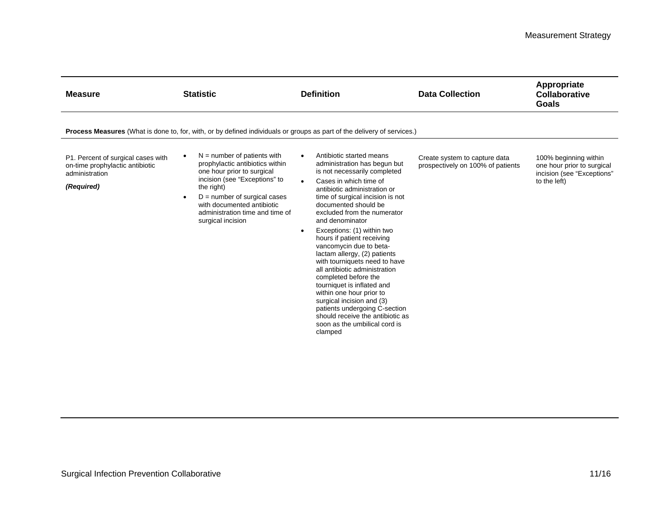| <b>Measure</b>                                                                                        | <b>Statistic</b>                                                                                                                                                                                                                                                                                | <b>Definition</b>                                                                                                                                                                                                                                                                                                                                                                                                                                                                                                                                                                                                                                                                                                                | <b>Data Collection</b>                                             | Appropriate<br>Collaborative<br>Goals                                                             |
|-------------------------------------------------------------------------------------------------------|-------------------------------------------------------------------------------------------------------------------------------------------------------------------------------------------------------------------------------------------------------------------------------------------------|----------------------------------------------------------------------------------------------------------------------------------------------------------------------------------------------------------------------------------------------------------------------------------------------------------------------------------------------------------------------------------------------------------------------------------------------------------------------------------------------------------------------------------------------------------------------------------------------------------------------------------------------------------------------------------------------------------------------------------|--------------------------------------------------------------------|---------------------------------------------------------------------------------------------------|
|                                                                                                       | Process Measures (What is done to, for, with, or by defined individuals or groups as part of the delivery of services.)                                                                                                                                                                         |                                                                                                                                                                                                                                                                                                                                                                                                                                                                                                                                                                                                                                                                                                                                  |                                                                    |                                                                                                   |
| P1. Percent of surgical cases with<br>on-time prophylactic antibiotic<br>administration<br>(Required) | $N =$ number of patients with<br>$\bullet$<br>prophylactic antibiotics within<br>one hour prior to surgical<br>incision (see "Exceptions" to<br>the right)<br>$D =$ number of surgical cases<br>$\bullet$<br>with documented antibiotic<br>administration time and time of<br>surgical incision | Antibiotic started means<br>$\bullet$<br>administration has begun but<br>is not necessarily completed<br>Cases in which time of<br>$\bullet$<br>antibiotic administration or<br>time of surgical incision is not<br>documented should be<br>excluded from the numerator<br>and denominator<br>Exceptions: (1) within two<br>$\bullet$<br>hours if patient receiving<br>vancomycin due to beta-<br>lactam allergy, (2) patients<br>with tourniquets need to have<br>all antibiotic administration<br>completed before the<br>tourniquet is inflated and<br>within one hour prior to<br>surgical incision and (3)<br>patients undergoing C-section<br>should receive the antibiotic as<br>soon as the umbilical cord is<br>clamped | Create system to capture data<br>prospectively on 100% of patients | 100% beginning within<br>one hour prior to surgical<br>incision (see "Exceptions"<br>to the left) |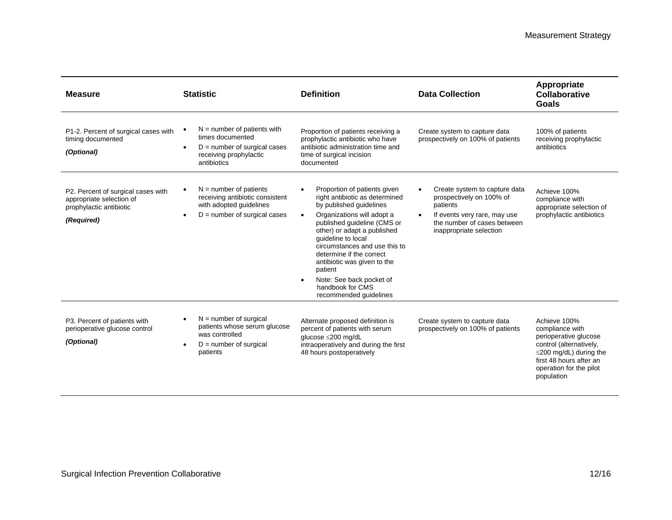| <b>Measure</b>                                                                                          | <b>Statistic</b>                                                                                                                                   | <b>Definition</b>                                                                                                                                                                                                                                                                                                                                                                                                                   | <b>Data Collection</b>                                                                                                                                                       | Appropriate<br><b>Collaborative</b><br><b>Goals</b>                                                                                                                                     |
|---------------------------------------------------------------------------------------------------------|----------------------------------------------------------------------------------------------------------------------------------------------------|-------------------------------------------------------------------------------------------------------------------------------------------------------------------------------------------------------------------------------------------------------------------------------------------------------------------------------------------------------------------------------------------------------------------------------------|------------------------------------------------------------------------------------------------------------------------------------------------------------------------------|-----------------------------------------------------------------------------------------------------------------------------------------------------------------------------------------|
| P1-2. Percent of surgical cases with<br>timing documented<br>(Optional)                                 | $N =$ number of patients with<br>times documented<br>$D =$ number of surgical cases<br>$\bullet$<br>receiving prophylactic<br>antibiotics          | Proportion of patients receiving a<br>prophylactic antibiotic who have<br>antibiotic administration time and<br>time of surgical incision<br>documented                                                                                                                                                                                                                                                                             | Create system to capture data<br>prospectively on 100% of patients                                                                                                           | 100% of patients<br>receiving prophylactic<br>antibiotics                                                                                                                               |
| P2. Percent of surgical cases with<br>appropriate selection of<br>prophylactic antibiotic<br>(Required) | $N =$ number of patients<br>$\bullet$<br>receiving antibiotic consistent<br>with adopted quidelines<br>$D =$ number of surgical cases<br>$\bullet$ | Proportion of patients given<br>$\bullet$<br>right antibiotic as determined<br>by published guidelines<br>Organizations will adopt a<br>$\bullet$<br>published quideline (CMS or<br>other) or adapt a published<br>guideline to local<br>circumstances and use this to<br>determine if the correct<br>antibiotic was given to the<br>patient<br>Note: See back pocket of<br>$\bullet$<br>handbook for CMS<br>recommended guidelines | Create system to capture data<br>prospectively on 100% of<br>patients<br>If events very rare, may use<br>$\bullet$<br>the number of cases between<br>inappropriate selection | Achieve 100%<br>compliance with<br>appropriate selection of<br>prophylactic antibiotics                                                                                                 |
| P3. Percent of patients with<br>perioperative glucose control<br>(Optional)                             | $N =$ number of surgical<br>$\bullet$<br>patients whose serum glucose<br>was controlled<br>$D =$ number of surgical<br>patients                    | Alternate proposed definition is<br>percent of patients with serum<br>glucose ≤200 mg/dL<br>intraoperatively and during the first<br>48 hours postoperatively                                                                                                                                                                                                                                                                       | Create system to capture data<br>prospectively on 100% of patients                                                                                                           | Achieve 100%<br>compliance with<br>perioperative glucose<br>control (alternatively,<br>$\leq$ 200 mg/dL) during the<br>first 48 hours after an<br>operation for the pilot<br>population |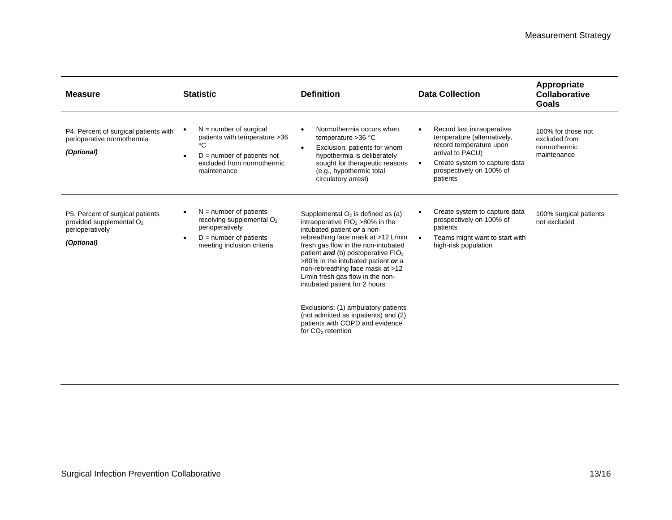| <b>Measure</b>                                                                                  | <b>Statistic</b>                                                                                                                                           | <b>Definition</b>                                                                                                                                                                                                                                                                                                                                                                                                                                                                                                                       | <b>Data Collection</b>                                                                                                                                                                         | Appropriate<br>Collaborative<br>Goals                              |
|-------------------------------------------------------------------------------------------------|------------------------------------------------------------------------------------------------------------------------------------------------------------|-----------------------------------------------------------------------------------------------------------------------------------------------------------------------------------------------------------------------------------------------------------------------------------------------------------------------------------------------------------------------------------------------------------------------------------------------------------------------------------------------------------------------------------------|------------------------------------------------------------------------------------------------------------------------------------------------------------------------------------------------|--------------------------------------------------------------------|
| P4. Percent of surgical patients with<br>perioperative normothermia<br>(Optional)               | $N =$ number of surgical<br>patients with temperature > 36<br>°C<br>$D =$ number of patients not<br>$\bullet$<br>excluded from normothermic<br>maintenance | Normothermia occurs when<br>$\bullet$<br>temperature $>36$ °C<br>Exclusion: patients for whom<br>$\bullet$<br>hypothermia is deliberately<br>sought for therapeutic reasons<br>(e.g., hypothermic total<br>circulatory arrest)                                                                                                                                                                                                                                                                                                          | Record last intraoperative<br>temperature (alternatively,<br>record temperature upon<br>arrival to PACU)<br>Create system to capture data<br>$\bullet$<br>prospectively on 100% of<br>patients | 100% for those not<br>excluded from<br>normothermic<br>maintenance |
| P5. Percent of surgical patients<br>provided supplemental $O2$<br>perioperatively<br>(Optional) | $N =$ number of patients<br>receiving supplemental $O2$<br>perioperatively<br>$D =$ number of patients<br>$\bullet$<br>meeting inclusion criteria          | Supplemental $O2$ is defined as (a)<br>intraoperative $FIO2 > 80\%$ in the<br>intubated patient or a non-<br>rebreathing face mask at >12 L/min<br>fresh gas flow in the non-intubated<br>patient <b>and</b> (b) postoperative $FIO2$<br>>80% in the intubated patient or a<br>non-rebreathing face mask at >12<br>L/min fresh gas flow in the non-<br>intubated patient for 2 hours<br>Exclusions: (1) ambulatory patients<br>(not admitted as inpatients) and (2)<br>patients with COPD and evidence<br>for CO <sub>2</sub> retention | Create system to capture data<br>prospectively on 100% of<br>patients<br>Teams might want to start with<br>$\bullet$<br>high-risk population                                                   | 100% surgical patients<br>not excluded                             |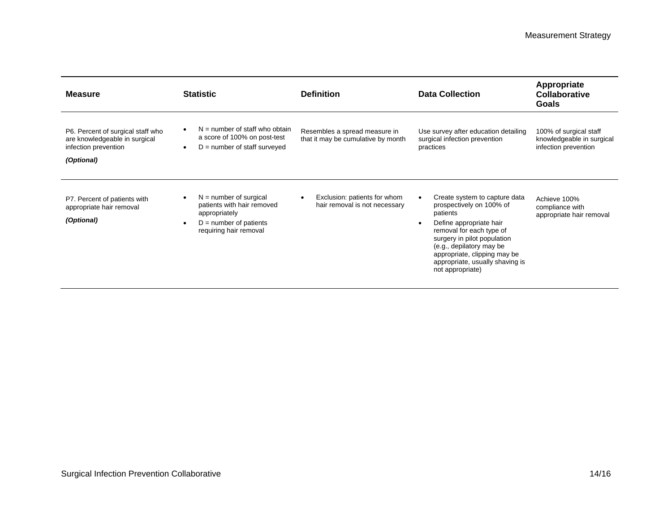| <b>Measure</b>                                                                                           | <b>Statistic</b>                                                                                                                                        | <b>Definition</b>                                                   | <b>Data Collection</b>                                                                                                                                                                                                                                                         | Appropriate<br>Collaborative<br><b>Goals</b>                                |
|----------------------------------------------------------------------------------------------------------|---------------------------------------------------------------------------------------------------------------------------------------------------------|---------------------------------------------------------------------|--------------------------------------------------------------------------------------------------------------------------------------------------------------------------------------------------------------------------------------------------------------------------------|-----------------------------------------------------------------------------|
| P6. Percent of surgical staff who<br>are knowledgeable in surgical<br>infection prevention<br>(Optional) | $N =$ number of staff who obtain<br>$\bullet$<br>a score of 100% on post-test<br>$D =$ number of staff surveyed<br>$\bullet$                            | Resembles a spread measure in<br>that it may be cumulative by month | Use survey after education detailing<br>surgical infection prevention<br>practices                                                                                                                                                                                             | 100% of surgical staff<br>knowledgeable in surgical<br>infection prevention |
| P7. Percent of patients with<br>appropriate hair removal<br>(Optional)                                   | $N =$ number of surgical<br>$\bullet$<br>patients with hair removed<br>appropriately<br>$D =$ number of patients<br>$\bullet$<br>requiring hair removal | Exclusion: patients for whom<br>hair removal is not necessary       | Create system to capture data<br>prospectively on 100% of<br>patients<br>Define appropriate hair<br>removal for each type of<br>surgery in pilot population<br>(e.g., depilatory may be<br>appropriate, clipping may be<br>appropriate, usually shaving is<br>not appropriate) | Achieve 100%<br>compliance with<br>appropriate hair removal                 |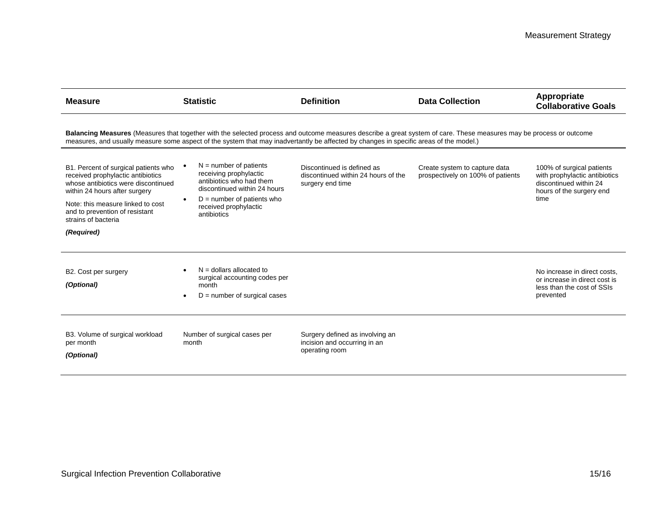| <b>Measure</b>                                                                                                                                                                                                                                  | <b>Statistic</b>                                                                                                                                                                                                                                                                                                                              | <b>Definition</b>                                                                     | <b>Data Collection</b>                                                                                                                                                                                                                    | Appropriate<br><b>Collaborative Goals</b>                                                                                |
|-------------------------------------------------------------------------------------------------------------------------------------------------------------------------------------------------------------------------------------------------|-----------------------------------------------------------------------------------------------------------------------------------------------------------------------------------------------------------------------------------------------------------------------------------------------------------------------------------------------|---------------------------------------------------------------------------------------|-------------------------------------------------------------------------------------------------------------------------------------------------------------------------------------------------------------------------------------------|--------------------------------------------------------------------------------------------------------------------------|
| B1. Percent of surgical patients who<br>received prophylactic antibiotics<br>whose antibiotics were discontinued<br>within 24 hours after surgery<br>Note: this measure linked to cost<br>and to prevention of resistant<br>strains of bacteria | measures, and usually measure some aspect of the system that may inadvertantly be affected by changes in specific areas of the model.)<br>$N =$ number of patients<br>receiving prophylactic<br>antibiotics who had them<br>discontinued within 24 hours<br>$D =$ number of patients who<br>$\bullet$<br>received prophylactic<br>antibiotics | Discontinued is defined as<br>discontinued within 24 hours of the<br>surgery end time | Balancing Measures (Measures that together with the selected process and outcome measures describe a great system of care. These measures may be process or outcome<br>Create system to capture data<br>prospectively on 100% of patients | 100% of surgical patients<br>with prophylactic antibiotics<br>discontinued within 24<br>hours of the surgery end<br>time |
| (Required)                                                                                                                                                                                                                                      |                                                                                                                                                                                                                                                                                                                                               |                                                                                       |                                                                                                                                                                                                                                           |                                                                                                                          |
| B2. Cost per surgery<br>(Optional)                                                                                                                                                                                                              | $N =$ dollars allocated to<br>surgical accounting codes per<br>month<br>$D =$ number of surgical cases                                                                                                                                                                                                                                        |                                                                                       |                                                                                                                                                                                                                                           | No increase in direct costs,<br>or increase in direct cost is<br>less than the cost of SSIs<br>prevented                 |
| B3. Volume of surgical workload<br>per month<br>(Optional)                                                                                                                                                                                      | Number of surgical cases per<br>month                                                                                                                                                                                                                                                                                                         | Surgery defined as involving an<br>incision and occurring in an<br>operating room     |                                                                                                                                                                                                                                           |                                                                                                                          |